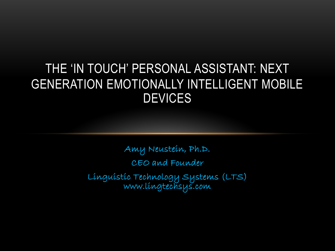### THE 'IN TOUCH' PERSONAL ASSISTANT: NEXT GENERATION EMOTIONALLY INTELLIGENT MOBILE **DEVICES**

Amy Neustein, Ph.D. CEO and Founder Linguistic Technology Systems (LTS) www.lingtechsys.com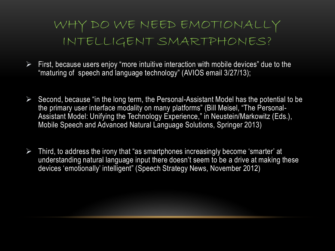### WHY DO WE NEED EMOTIONALLY INTELLIGENT SMARTPHONES?

- $\triangleright$  First, because users enjoy "more intuitive interaction with mobile devices" due to the "maturing of speech and language technology" (AVIOS email 3/27/13);
- $\triangleright$  Second, because "in the long term, the Personal-Assistant Model has the potential to be the primary user interface modality on many platforms" (Bill Meisel, "The Personal-Assistant Model: Unifying the Technology Experience," in Neustein/Markowitz (Eds.), Mobile Speech and Advanced Natural Language Solutions, Springer 2013)
- $\triangleright$  Third, to address the irony that "as smartphones increasingly become 'smarter' at understanding natural language input there doesn't seem to be a drive at making these devices 'emotionally' intelligent" (Speech Strategy News, November 2012)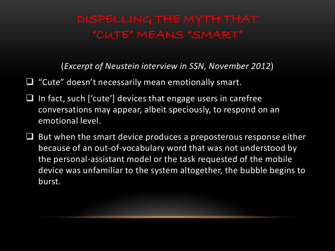# "CUTE" MEANS "SMART"

(*Excerpt of Neustein interview in SSN, November 2012*)

- "Cute" doesn't necessarily mean emotionally smart.
- $\Box$  In fact, such ['cute'] devices that engage users in carefree conversations may appear, albeit speciously, to respond on an emotional level.
- $\Box$  But when the smart device produces a preposterous response either because of an out-of-vocabulary word that was not understood by the personal-assistant model or the task requested of the mobile device was unfamiliar to the system altogether, the bubble begins to burst.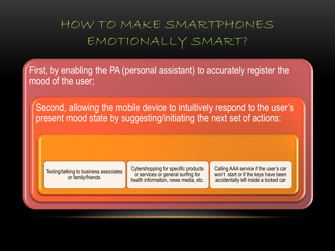### HOW TO MAKE SMARTPHONES EMOTIONALLY SMART?

First, by enabling the PA (personal assistant) to accurately register the mood of the user;

Second, allowing the mobile device to intuitively respond to the user's present mood state by suggesting/initiating the next set of actions:

Texting/talking to business associates or family/friends

Cybershopping for specific products or services or general surfing for health information, news media, etc.

Calling AAA service if the user's car won't start or if the keys have been accidentally left inside a locked car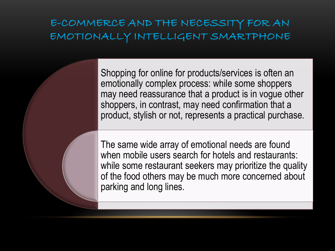### E-COMMERCE AND THE NECESSITY FOR AN EMOTIONALLY INTELLIGENT SMARTPHONE

Shopping for online for products/services is often an emotionally complex process: while some shoppers may need reassurance that a product is in vogue other shoppers, in contrast, may need confirmation that a product, stylish or not, represents a practical purchase.

The same wide array of emotional needs are found when mobile users search for hotels and restaurants: while some restaurant seekers may prioritize the quality of the food others may be much more concerned about parking and long lines.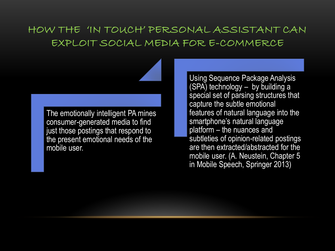### HOW THE 'IN TOUCH' PERSONAL ASSISTANT CAN EXPLOIT SOCIAL MEDIA FOR E-COMMERCE

The emotionally intelligent PA mines consumer-generated media to find just those postings that respond to the present emotional needs of the mobile user.

Using Sequence Package Analysis (SPA) technology – by building a special set of parsing structures that capture the subtle emotional features of natural language into the smartphone's natural language platform – the nuances and subtleties of opinion-related postings are then extracted/abstracted for the mobile user. (A. Neustein, Chapter 5 in Mobile Speech, Springer 2013)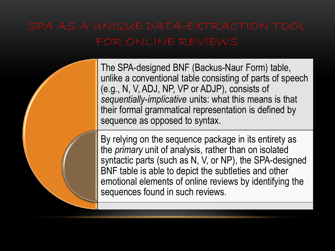The SPA-designed BNF (Backus-Naur Form) table, unlike a conventional table consisting of parts of speech (e.g., N, V, ADJ, NP, VP or ADJP), consists of *sequentially-implicative* units: what this means is that their formal grammatical representation is defined by sequence as opposed to syntax.

By relying on the sequence package in its entirety as the *primary* unit of analysis, rather than on isolated syntactic parts (such as N, V, or NP), the SPA-designed BNF table is able to depict the subtleties and other emotional elements of online reviews by identifying the sequences found in such reviews.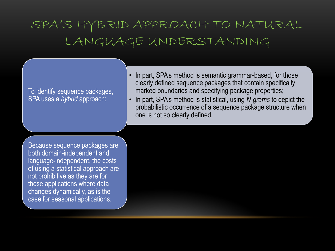### SPA'S HYBRID APPROACH TO NATURAL LANGUAGE UNDERSTANDING

### To identify sequence packages, SPA uses a *hybrid* approach:

- In part, SPA's method is semantic grammar-based, for those clearly defined sequence packages that contain specifically marked boundaries and specifying package properties;
- In part, SPA's method is statistical, using *N-grams* to depict the probabilistic occurrence of a sequence package structure when one is not so clearly defined.

Because sequence packages are both domain-independent and language-independent, the costs of using a statistical approach are not prohibitive as they are for those applications where data changes dynamically, as is the case for seasonal applications.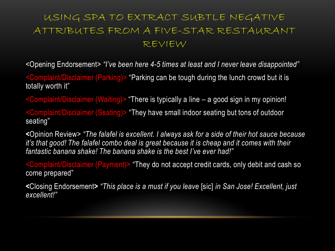### USING SPA TO EXTRACT SUBTLE NEGATIVE ATTRIBUTES FROM A FIVE-STAR RESTAURANT REVIEW

<Opening Endorsement> *"I've been here 4-5 times at least and I never leave disappointed"*

<Complaint/Disclaimer (Parking)> "Parking can be tough during the lunch crowd but it is totally worth it"

<Complaint/Disclaimer (Waiting)> "There is typically a line – a good sign in my opinion!

<Complaint/Disclaimer (Seating)> "They have small indoor seating but tons of outdoor seating"

**<**Opinion Review> *"The falafel is excellent. I always ask for a side of their hot sauce because it's that good! The falafel combo deal is great because it is cheap and it comes with their fantastic banana shake! The banana shake is the best I've ever had!"*

<Complaint/Disclaimer (Payment)> "They do not accept credit cards, only debit and cash so come prepared"

**<**Closing Endorsement**>** *"This place is a must if you leave* [sic] *in San Jose! Excellent, just excellent!"*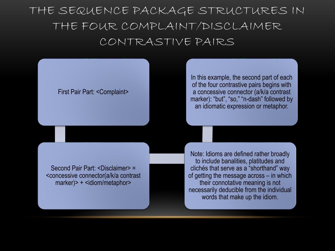THE SEQUENCE PACKAGE STRUCTURES IN THE FOUR COMPLAINT/DISCLAIMER CONTRASTIVE PAIRS

#### First Pair Part: <Complaint>

In this example, the second part of each of the four contrastive pairs begins with a concessive connector (a/k/a contrast marker): "but", "so," "n-dash" followed by an idiomatic expression or metaphor.

Second Pair Part: <Disclaimer> = <concessive connector(a/k/a contrast marker)> + <idiom/metaphor>

Note: Idioms are defined rather broadly to include banalities, platitudes and clichés that serve as a "shorthand" way of getting the message across – in which their connotative meaning is not necessarily deducible from the individual words that make up the idiom.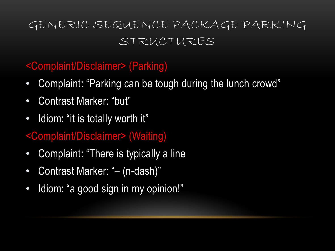### GENERIC SEQUENCE PACKAGE PARKING STRUCTURES

### <Complaint/Disclaimer> (Parking)

- Complaint: "Parking can be tough during the lunch crowd"
- Contrast Marker: "but"
- Idiom: "it is totally worth it"
- <Complaint/Disclaimer> (Waiting)
- Complaint: "There is typically a line
- Contrast Marker: "– (n-dash)"
- Idiom: "a good sign in my opinion!"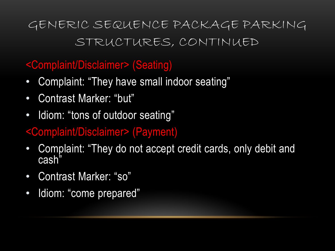## GENERIC SEQUENCE PACKAGE PARKING STRUCTURES, CONTINUED

### <Complaint/Disclaimer> (Seating)

- Complaint: "They have small indoor seating"
- Contrast Marker: "but"
- Idiom: "tons of outdoor seating"
- <Complaint/Disclaimer> (Payment)
- Complaint: "They do not accept credit cards, only debit and cash"
- Contrast Marker: "so"
- Idiom: "come prepared"